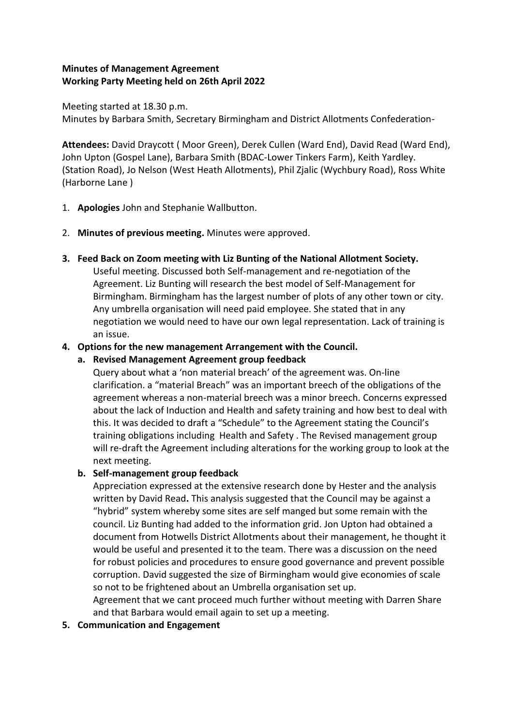## **Minutes of Management Agreement Working Party Meeting held on 26th April 2022**

Meeting started at 18.30 p.m. Minutes by Barbara Smith, Secretary Birmingham and District Allotments Confederation-

**Attendees:** David Draycott ( Moor Green), Derek Cullen (Ward End), David Read (Ward End), John Upton (Gospel Lane), Barbara Smith (BDAC-Lower Tinkers Farm), Keith Yardley. (Station Road), Jo Nelson (West Heath Allotments), Phil Zjalic (Wychbury Road), Ross White (Harborne Lane )

- 1. **Apologies** John and Stephanie Wallbutton.
- 2. **Minutes of previous meeting.** Minutes were approved.
- **3. Feed Back on Zoom meeting with Liz Bunting of the National Allotment Society.**

Useful meeting. Discussed both Self-management and re-negotiation of the Agreement. Liz Bunting will research the best model of Self-Management for Birmingham. Birmingham has the largest number of plots of any other town or city. Any umbrella organisation will need paid employee. She stated that in any negotiation we would need to have our own legal representation. Lack of training is an issue.

# **4. Options for the new management Arrangement with the Council.**

## **a. Revised Management Agreement group feedback**

Query about what a 'non material breach' of the agreement was. On-line clarification. a "material Breach" was an important breech of the obligations of the agreement whereas a non-material breech was a minor breech. Concerns expressed about the lack of Induction and Health and safety training and how best to deal with this. It was decided to draft a "Schedule" to the Agreement stating the Council's training obligations including Health and Safety . The Revised management group will re-draft the Agreement including alterations for the working group to look at the next meeting.

# **b. Self-management group feedback**

Appreciation expressed at the extensive research done by Hester and the analysis written by David Read**.** This analysis suggested that the Council may be against a "hybrid" system whereby some sites are self manged but some remain with the council. Liz Bunting had added to the information grid. Jon Upton had obtained a document from Hotwells District Allotments about their management, he thought it would be useful and presented it to the team. There was a discussion on the need for robust policies and procedures to ensure good governance and prevent possible corruption. David suggested the size of Birmingham would give economies of scale so not to be frightened about an Umbrella organisation set up.

Agreement that we cant proceed much further without meeting with Darren Share and that Barbara would email again to set up a meeting.

**5. Communication and Engagement**